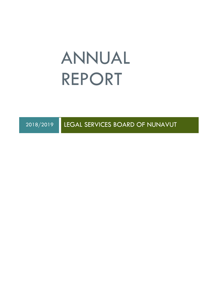# ANNUAL REPORT

2018/2019 LEGAL SERVICES BOARD OF NUNAVUT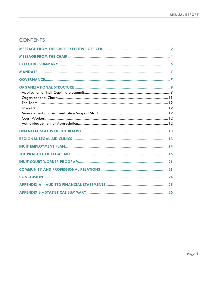# **CONTENTS**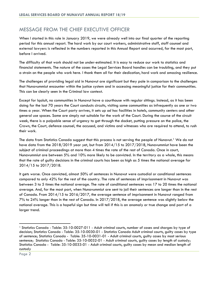# <span id="page-2-0"></span>MESSAGE FROM THE CHIEF EXECUTIVE OFFICER

When I started in this role in January 2019, we were already well into our final quarter of the reporting period for this annual report. The hard work by our court workers, administrative staff, staff counsel and external lawyers is reflected in the numbers reported in this Annual Report and occurred, for the most part, before I arrived.

The difficulty of that work should not be under-estimated. It is easy to reduce our work to statistics and financial statements. The nature of the cases the Legal Services Board handles can be troubling, and they put a strain on the people who work here. I thank them all for their dedication, hard work and amazing resilience.

The challenges of providing legal aid in Nunavut are significant but they pale in comparison to the challenges that Nunavummiut encounter within the justice system and in accessing meaningful justice for their communities. This can be clearly seen in the Criminal law context.

Except for Iqaluit, no communities in Nunavut have a courthouse with regular sittings. Instead, as it has been doing for the last 70 years the Court conducts circuits, visiting some communities as infrequently as one or two times a year. When the Court party arrives, it sets up *ad hoc* facilities in hotels, community centers and other general use spaces. Some are simply not suitable for the work of the Court. During the course of the circuit week, there is a palpable sense of urgency to get through the docket, putting pressure on the police, the Crown, the Court, defence counsel, the accused, and victims and witnesses who are required to attend, to rush their work.

The data from Statistics Canada suggest that this process is not serving the people of Nunavut.<sup>[1](#page-2-1)</sup> We do not have data from the 2018/2019 year yet, but from 2014/15 to 2017/2018, Nunavummiut have been the subject of criminal proceedings at more than 4 times the rate of the rest of Canada. Once in court, Nunavummiut are between 5% and 10% more likely to be convicted. In the territory as a whole, this means that the rate of guilty decisions in the criminal courts has been as high as 5 times the national average for 2014/15 to 2017/2018.

It gets worse. Once convicted, almost 50% of sentences in Nunavut were custodial or conditional sentences compared to only 42% for the rest of the country. The rate of sentences of imprisonment in Nunavut was between 3 to 5 times the national average. The rate of conditional sentences was 17 to 20 times the national average. And, for the most part, when Nunavummiut are sent to jail their sentences are longer than in the rest of Canada. From 2014/15 to 2016/2017, the average sentence of imprisonment in Nunavut ranged from 7% to 24% longer than in the rest of Canada. In 2017/2018, the average sentence was slightly below the national average. This is a hopeful sign but time will tell if this is an anomaly or true change and part of a larger trend.

<span id="page-2-1"></span><sup>1</sup> Statistics Canada - Table: 35-10-0027-011 - [Adult criminal courts, number of cases and charges by type of](https://www150.statcan.gc.ca/t1/tbl1/en/tv.action?pid=3510002701)  [decision;](https://www150.statcan.gc.ca/t1/tbl1/en/tv.action?pid=3510002701) Statistics Canada - Table: 35-10-0030-01 - Statistics Canada [Adult criminal courts, guilty cases by type](https://www150.statcan.gc.ca/t1/tbl1/en/tv.action?pid=3510003001)  [of sentence;](https://www150.statcan.gc.ca/t1/tbl1/en/tv.action?pid=3510003001) Statistics Canada - Table: 35-10-0031-01 - [Adult criminal courts, guilty cases by most serious](https://www150.statcan.gc.ca/t1/tbl1/en/tv.action?pid=3510003101)  [sentence;](https://www150.statcan.gc.ca/t1/tbl1/en/tv.action?pid=3510003101) Statistics Canada - Table: 35-10-0032-01 - [Adult criminal courts, guilty cases by length of custody;](https://www150.statcan.gc.ca/t1/tbl1/en/tv.action?pid=3510003201) Statistics Canada - Table: 35-10-0033-01 - [Adult criminal courts, guilty cases by mean and median length of](https://www150.statcan.gc.ca/t1/tbl1/en/tv.action?pid=3510003301)  [custody](https://www150.statcan.gc.ca/t1/tbl1/en/tv.action?pid=3510003301)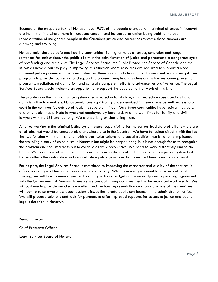Because of the unique context of Nunavut, over 95% of the people charged with criminal offences in Nunavut are Inuit. In a time where there is increased concern and increased attention being paid to the overrepresentation of indigenous people in the Canadian justice and corrections systems, these numbers are alarming and troubling.

Nunavummiut deserve safe and healthy communities. But higher rates of arrest, conviction and longer sentences for Inuit undercut the public's faith in the administration of justice and perpetuate a dangerous cycle of reoffending and recidivism. The Legal Services Board, the Public Prosecution Service of Canada and the RCMP all have a part to play in improving this situation. More resources are required to support a more sustained justice presence in the communities but these should include significant investment in community-based programs to provide counselling and support to accused people and victims and witnesses, crime prevention programs, mediation, rehabilitation, and culturally competent efforts to advance restorative justice. The Legal Services Board would welcome an opportunity to support the development of work of this kind.

The problems in the criminal justice system are mirrored in family law, child protection cases, and civil and administrative law matters. Nunavummiut are significantly under-serviced in these areas as well. Access to a court in the communities outside of Iqaluit is severely limited. Only three communities have resident lawyers, and only Iqaluit has private lawyers not employed by legal aid. And the wait times for family and civil lawyers with the LSB are too long. We are working on shortening them.

All of us working in the criminal justice system share responsibility for the current bad state of affairs – a state of affairs that would be unacceptable anywhere else in the Country. We have to reckon directly with the fact that we function within an institution with a particular cultural and social tradition that is not only implicated in the troubling history of colonialism in Nunavut but might be perpetuating it. It is not enough for us to recognize the problem and the unfairness but to continue as we always have. We need to work differently and to do better. We need to work with each other and the communities to offer better access to a justice system that better reflects the restorative and rehabilitative justice principles that operated here prior to our arrival.

For its part, the Legal Services Board is committed to improving the character and quality of the services it offers, reducing wait times and bureaucratic complexity. While remaining responsible stewards of public funding, we will look to ensure greater flexibility with our budget and a more dynamic operating agreement with the Government of Nunavut to ensure we are optimizing our investment in the important work we do. We will continue to provide our clients excellent and zealous representation on a broad range of files. And we will look to raise awareness about systemic issues that erode public confidence in the administration justice. We will propose solutions and look for partners to offer improved supports for access to justice and public legal education in Nunavut.

Benson Cowan

Chief Executive Officer

Legal Services Board of Nunavut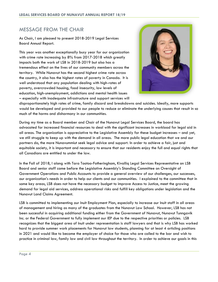# MESSAGE FROM THE CHAIR

<span id="page-4-0"></span>As Chair, I am pleased to present 2018-2019 Legal Services Board Annual Report.

This year was another exceptionally busy year for our organization with crime rate increasing by 8% from 2017-2018 which areatly impacts both the work of LSB in 2018-2019 but also has a tremendous effect on the lives of our community members across the territory. While Nunavut has the second highest crime rate across the country, it also has the highest rates of poverty in Canada. It is well understood that any population dealing with high-rates of poverty, overcrowded housing, food insecurity, low levels of education, high-unemployment, addictions and mental health issues – especially with inadequate infrastructure and support services will



disproportionately high rates of crime, family discord and breakdowns and suicides. Ideally, more supports would be developed and provided to our people to reduce or eliminate the underlying causes that result in so much of the harms and disharmony in our communities.

During my time as a Board member and Chair of the Nunavut Legal Services Board, the board has advocated for increased financial resources to deal with the significant increases in workload for legal aid in all areas. The organization is appreciative to the Legislative Assembly for these budget increases – and yet, we still struggle to keep up with the demand in all areas. The more public legal education that we and our partners do, the more Nunavummiut seek legal advice and support. In order to achieve a fair, just and equitable society, it is important and necessary to ensure that our residents enjoy the full and equal rights that all Canadians are entitled to under the law.

In the Fall of 2018, I along with Tara Tootoo-Fotheringham, Kivalliq Legal Services Representative on LSB Board and senior staff came before the Legislative Assembly's Standing Committee on Oversight of Government Operations and Public Accounts to provide a general overview of our challenges, our successes, our organization's needs in order to help our clients and our communities. I explained to the committee that in some key areas, LSB does not have the necessary budget to improve Access to Justice, meet the growing demand for legal aid services, address operational risks and fulfill key obligations under legislation and the Nunavut Land Claims Agreement.

LSB is committed to implementing our Inuit Employment Plan, especially to increase our Inuit staff in all areas of management and hiring as many of the graduates from the Nunavut Law School. However, LSB has not been successful in acquiring additional funding either from the Government of Nunavut, Nunavut Tunngavik Inc. or the Federal Government to fully implement our IEP due to the respective priorities or policies. LSB recognizes that the biggest area of Inuit under representation is staff lawyers and that is why LSB has worked hard to provide summer work placements for Nunavut law students, planning for at least 4 articling positions in 2021 and would like to become the employer of choice for those who are called to the bar and wish to practice in criminal law, family law and civil law throughout the territory. In order to achieve our goals in this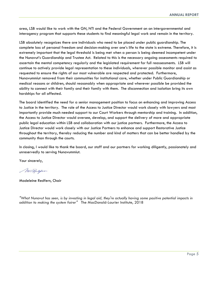area, LSB would like to work with the GN, NTI and the Federal Government on an intergovernmental and interagency program that supports these students to find meaningful legal work and remain in the territory.

LSB absolutely recognizes there are individuals who need to be placed under public guardianship. The complete loss of personal freedom and decision-making over one's life to the state is extreme. Therefore, it is extremely important that the legal threshold is being met when a person is being deemed incompetent under the Nunavut's Guardianship and Trustee Act. Related to this is the necessary ongoing assessments required to ascertain the mental competency regularly and the legislated requirement for full reassessments. LSB will continue to actively provide legal representation to these individuals, wherever possible monitor and assist as requested to ensure the rights of our most vulnerable are respected and protected. Furthermore, Nunavummiut removed from their communities for institutional care, whether under Public Guardianship or medical reasons or children, should reasonably when appropriate and wherever possible be provided the ability to connect with their family and their family with them. The disconnection and isolation bring its own hardships for all affected.

The board identified the need for a senior management position to focus on enhancing and improving Access to Justice in the territory. The role of the Access to Justice Director would work closely with lawyers and most importantly provide much needed support to our Court Workers through mentorship and training. In addition, the Access to Justice Director would oversee, develop, and support the delivery of more and appropriate public legal education within LSB and collaboration with our justice partners. Furthermore, the Access to Justice Director would work closely with our Justice Partners to enhance and support Restorative Justice throughout the territory, thereby reducing the number and kind of matters that can be better handled by the community than through the courts.

In closing, I would like to thank the board, our staff and our partners for working diligently, passionately and unreservedly to serving Nunavummiut.

Your sincerely,

Mikelen

Madeleine Redfern, Chair

*"What Nunavut has seen, is by investing in legal aid, they're actually having some positive potential impacts in addition to making the system fairer"* The MacDonald-Laurier Institute, 2018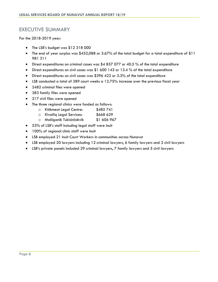## <span id="page-6-0"></span>EXECUTIVE SUMMARY

For the 2018-2019 year:

- The LSB's budget was \$12 318 000
- The end of year surplus was \$452,088 or 3.67% of the total budget for a total expenditure of \$11 981 311
- Direct expenditures on criminal cases was \$4 857 077 or 40.5 % of the total expenditure
- Direct expenditures on civil cases was \$1 600 143 or 13.4 % of the total expenditure
- Direct expenditures on civil cases was \$396 422 or 3.3% of the total expenditure
- LSB conducted a total of 389 court weeks a 12.75% increase over the previous fiscal year
- 2482 criminal files were opened
- 383 family files were opened
- 217 civil files were opened
- The three regional clinics were funded as follows:
	- o Kitikmeot Legal Centre: \$485 741
	- o Kivalliq Legal Services: \$668 629
	- o Maliiganik Tukisiniiakvik \$1 606 967
- 53% of LSB's staff including legal staff were Inuit
- 100% of regional clinic staff were Inuit
- LSB employed 21 Inuit Court Workers in communities across Nunavut
- LSB employed 20 lawyers including 12 criminal lawyers, 6 family lawyers and 2 civil lawyers
- LSB's private panels included 29 criminal lawyers, 7 family lawyers and 5 civil lawyers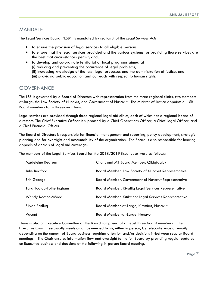## <span id="page-7-0"></span>MANDATE

The Legal Services Board ("LSB") is mandated by section 7 of the *Legal Services Act:*

- to ensure the provision of legal services to all eligible persons;
- to ensure that the legal services provided and the various systems for providing those services are the best that circumstances permit; and,
- to develop and co-ordinate territorial or local programs aimed at (i) reducing and preventing the occurrence of legal problems, (ii) increasing knowledge of the law, legal processes and the administration of justice, and (iii) providing public education and outreach with respect to human rights.

## <span id="page-7-1"></span>**GOVERNANCE**

The LSB is governed by a Board of Directors with representation from the three regional clinics, two membersat-large, the Law Society of Nunavut, and Government of Nunavut. The Minister of Justice appoints all LSB Board members for a three-year term.

Legal services are provided through three regional legal aid clinics, each of which has a regional board of directors. The Chief Executive Officer is supported by a Chief Operations Officer, a Chief Legal Officer, and a Chief Financial Officer.

The Board of Directors is responsible for financial management and reporting, policy development, strategic planning and for oversight and accountability of the organization. The Board is also responsible for hearing appeals of denials of legal aid coverage.

The members of the Legal Services Board for the 2018/2019 fiscal year were as follows:

| Madeleine Redfern        | Chair, and MT Board Member, Qikiqtaaluk                   |
|--------------------------|-----------------------------------------------------------|
| Julie Bedford            | Board Member, Law Society of Nunavut Representative       |
| Erin George              | <b>Board Member, Government of Nunavut Representative</b> |
| Tara Tootoo-Fotheringham | Board Member, Kivalliq Legal Services Representative      |
| Wendy Kootoo-Wood        | Board Member, Kitikmeot Legal Services Representative     |
| Eliyah Padluq            | Board Member-at-Large, Kimmirut, Nunavut                  |
| Vacant                   | Board Member-at-Large, Nunavut                            |

There is also an Executive Committee of the Board comprised of at least three board members. The Executive Committee usually meets on an as needed basis, either in person, by teleconference or email; depending on the amount of Board business requiring attention and/or decisions in-between regular Board meetings. The Chair ensures information flow and oversight to the full Board by providing regular updates on Executive business and decisions at the following in-person Board meeting.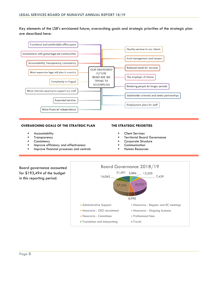Key elements of the LSB's envisioned future; overarching goals and strategic priorities of the strategic plan are described here:



#### **OVERARCHING GOALS OF THE STRATEGIC PLAN**

- Accountability
- Transparency
- Consistency
- Improve efficiency and effectiveness
- Improve financial processes and controls

#### **THE STRATEGIC PRIORITIES**

- Client Services
- Territorial Board Governance
- Corporate Structure
- Communication
- Human Resources

Board governance accounted for \$193,494 of the budget in this reporting period.

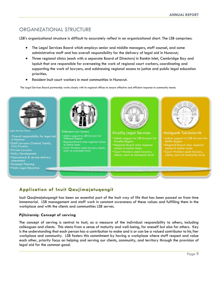# <span id="page-9-0"></span>ORGANIZATIONAL STRUCTURE

LSB's organizational structure is difficult to accurately reflect in an organizational chart. The LSB comprises:

- The Legal Services Board which employs senior and middle managers, staff counsel, and some administrative staff and has overall responsibility for the delivery of legal aid in Nunavut;
- Three regional clinics (each with a separate Board of Directors) in Rankin Inlet, Cambridge Bay and Iqaluit that are responsible for overseeing the work of regional court workers, coordinating and supporting the work of lawyers, and addressing regional access to justice and public legal education priorities.
- Resident Inuit court workers in most communities in Nunavut.

The Legal Services Board partnership works closely with its regional offices to ensure affective and efficient response to community needs.



# <span id="page-9-1"></span>**Application of Inuit Qaujimajatuqangit**

Inuit Qaujimajatuqangit has been an essential part of the Inuit way of life that has been passed on from time immemorial. LSB management and staff work in constant awareness of these values and fulfilling them in the workplace and with the clients and communities LSB serves.

#### *Pijitsirarniq***: Concept of serving**

The concept of serving is central to Inuit, as a measure of the individual responsibility to others, including colleagues and clients. This stems from a sense of maturity and well-being, for oneself but also for others. Key is the understanding that each person has a contribution to make and is or can be a valued contributor to his/her workplace and community. LSB fosters this commitment by having a workplace where staff respect and value each other, priority focus on helping and serving our clients, community, and territory through the provision of legal aid for the common good.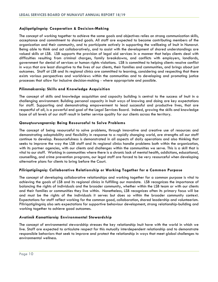#### *Aajiiqatigiingniq***: Cooperation & Decision-Making**

The concept of working together to achieve the same goals and objectives relies on strong communication skills, acceptance and commitment to shared goals. All staff are expected to become contributing members of the organization and their community, and to participate actively in supporting the wellbeing of Inuit in Nunavut. Being able to think and act collaboratively, and to assist with the development of shared understandings are valued skills at LSB. LSB supports the provision of legal aid services in a manner that helps clients deal with difficulties resulting from criminal charges, family breakdowns, and conflicts with employers, landlords, government for denial of services or human rights violations. LSB is committed to helping clients resolve conflict in ways that are least disruptive to the lives of our clients, their families and communities, and brings about just outcomes. Staff at LSB and its regional clinics are committed to learning, considering and respecting that there exists various perspectives and worldviews within the communities and to developing and promoting justice processes that allow for inclusive decision-making - where appropriate and possible.

#### *Pilimmaksarniq***: Skills and Knowledge Acquisition**

The concept of skills and knowledge acquisition and capacity building is central to the success of Inuit in a challenging environment. Building personal capacity in Inuit ways of knowing and doing are key expectations for staff. Supporting and demonstrating empowerment to lead successful and productive lives, that are respectful of all, is a powerful end goal of the Legal Services Board. Indeed, growing the skills and knowledge base of all levels of our staff result in better service quality for our clients across the territory.

#### *Qanuqtuurungnarniq***: Being Resourceful to Solve Problems**

The concept of being resourceful to solve problems, through innovative and creative use of resources and demonstrating adaptability and flexibility in response to a rapidly changing world, are strengths all our staff continue to develop. Resourcefulness is demonstrated in all aspects of daily operations and also thinking that seeks to improve the way the LSB staff and its regional clinics handle problems both within the organization, with its partner agencies, with our clients and challenges within the communities we serve. This is a skill that is vital to our staff. Working in communities where there is a chronic lack of mental health, addictions, educational, counselling, and crime prevention programs, our legal staff are forced to be very resourceful when developing alternative plans for clients to bring before the Court.

#### *Piliriqatigiingniq***: Collaborative Relationship or Working Together for a Common Purpose**

The concept of developing collaborative relationships and working together for a common purpose is vital to achieving the goals of LSB and its regional clinics in fulfilling our mandate. LSB recognizes the importance of balancing the rights of individuals and the broader community, whether within the LSB team or with our clients and their families or communities they live within. Nonetheless, LSB recognizes often its primary focus will be and must be the rights of the individuals it serves but does so within the broader community context. Expectations for staff reflect working for the common good, collaboration, shared leadership and volunteerism. Piliriqatigiingniq also sets expectations for supportive behaviour development, strong relationship-building and working together to achieve good outcomes.

#### *Avatimik Kamattiarniq***: Environmental Stewardship**

The concept of environmental stewardship stresses the key relationship Inuit have with the world in which we live. Staff are expected to articulate respect for this mutually interdependent relationship and to demonstrate responsible behaviors that seek to improve and protect the relationship in ways that meet global challenges to environmental wellness.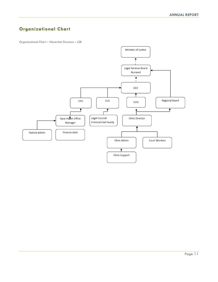# <span id="page-11-0"></span>**Organizational Chart**

*Organizational Chart – Hierarchal Structure – LSB*

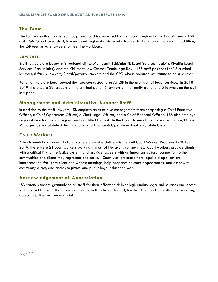## <span id="page-12-0"></span>**The Team**

The LSB prides itself on its team approach and is comprised by the Board, regional clinic boards, senior LSB staff, GN Gjoa Haven staff, lawyers, and regional clinic administrative staff and court workers. In addition, the LSB uses private lawyers to meet the workload.

#### <span id="page-12-1"></span>**Lawyers**

Staff lawyers are based in 3 regional clinics: Maliiganik Tukisiniarvik Legal Services (Iqaluit), Kivalliq Legal Services (Rankin Inlet), and the Kitikmeot Law Centre (Cambridge Bay). LSB staff positions for 16 criminal lawyers, 6 family lawyers, 2 civil/poverty lawyers and the CEO who is required by statute to be a lawyer.

Panel lawyers are legal counsel that are contracted to assist LSB in the provision of legal services. In 2018- 2019, there were 29 lawyers on the criminal panel, 6 lawyers on the family panel and 5 lawyers on the civil law panel.

## <span id="page-12-2"></span>**Management and Administrative Support Staff**

In addition to the staff lawyers, LSB employs an executive management team comprising a Chief Executive Officer, a Chief Operations Officer, a Chief Legal Officer, and a Chief Financial Officer. LSB also employs regional director in each region, positions filled by Inuit. In the Gjoa Haven office there are Finance/Office Manager, Senior Statute Administrator and a Finance & Operations Analyst/Statute Clerk.

## <span id="page-12-3"></span>**Court Workers**

A fundamental component to LSB's successful service delivery is the Inuit Court Worker Program. In 2018- 2019, there were 21 court workers working in most of Nunavut's communities. Court workers provide clients with a critical link to the justice system, and provide lawyers with an important cultural connection to the communities and clients they represent and serve. Court workers coordinate legal aid applications, interpretation, facilitate client and witness meetings, help preparation court appearances, and assist with community clinics, and access to justice and public legal education work.

## <span id="page-12-4"></span>**Acknowledgement of Appreciation**

LSB extends sincere gratitude to all staff for their efforts to deliver high quality legal aid services and access to justice in Nunavut. This team has proven itself to be dedicated, hardworking, and committed to enhancing access to justice for Nunavummiut.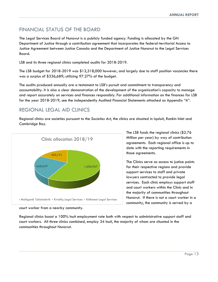# <span id="page-13-0"></span>FINANCIAL STATUS OF THE BOARD

The Legal Services Board of Nunavut is a publicly funded agency. Funding is allocated by the GN Department of Justice through a contribution agreement that incorporates the federal-territorial Access to Justice Agreement between Justice Canada and the Department of Justice Nunavut to the Legal Services Board.

LSB and its three regional clinics completed audits for 2018-2019.

The LSB budget for 2018-2019 was \$12,318,000 however, and largely due to staff position vacancies there was a surplus of \$336,689; utilizing 97.27% of the budget.

The audits produced annually are a testament to LSB's pursuit and commitment to transparency and accountability. It is also a clear demonstration of the development of the organization's capacity to manage and report accurately on services and finances responsibly. For additional information on the finances for LSB for the year 2018-2019, see the independently Audited Financial Statements attached as Appendix "A".

# <span id="page-13-1"></span>REGIONAL LEGAL AID CLINICS

Regional clinics are societies pursuant to the *Societies Act*, the clinics are situated in Iqaluit, Rankin Inlet and Cambridge Bay.



The LSB funds the regional clinics (\$2.76 Million per year) by way of contribution agreements. Each regional office is up to date with the reporting requirements in those agreements.

The Clinics serve as access to justice points for their respective regions and provide support services to staff and private lawyers contracted to provide legal services. Each clinic employs support staff and court workers within the Clinic and in the majority of communities throughout Nunavut. If there is not a court worker in a community, the community is served by a

Regional clinics boast a 100% Inuit employment rate both with respect to administrative support staff and court workers. All three clinics combined, employ 34 Inuit, the majority of whom are situated in the communities throughout Nunavut.

court worker from a nearby community.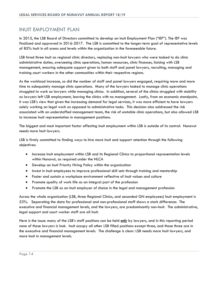## <span id="page-14-0"></span>INUIT EMPLOYMENT PLAN

In 2015, the LSB Board of Directors committed to develop an Inuit Employment Plan ("IEP"). The IEP was finalized and approved in 2016-2017. The LSB is committed to the longer-term goal of representative levels of 85% Inuit in all areas and levels within the organization in the foreseeable future.

LSB hired three Inuit as regional clinic directors, replacing non-Inuit lawyers who were tasked to do clinic administrative duties, overseeing clinic operations, human resources, clinic finances, liaising with LSB management, ensuring adequate support given to both staff and panel lawyers, recruiting, managing and training court workers in the other communities within their respective regions.

As the workload increase, so did the number of staff and panel lawyers engaged, requiring more and more time to adequately manage clinic operations. Many of the lawyers tasked to manage clinic operations struggled to work as lawyers while managing clinics. In addition, several of the clinics struggled with stability as lawyers left LSB employment, leaving the clinics with no management. Lastly, from an economic standpoint, it was LSB's view that given the increasing demand for legal services, it was more efficient to have lawyers solely working on legal work as opposed to administrative tasks. This decision also addressed the risk associated with an understaffed management team, the risk of unstable clinic operations, but also allowed LSB to increase Inuit representation in management positions.

The biggest and most important factor affecting Inuit employment within LSB is outside of its control: Nunavut needs more Inuit lawyers.

LSB is firmly committed to finding ways to hire more Inuit and support retention through the following objectives:

- Increase Inuit employment within LSB and its Regional Clinics to proportional representation levels within Nunavut, as required under the NLCA
- Develop an Inuit Priority Hiring Policy within the organization
- Invest in Inuit employees to improve professional skill sets through training and mentorship
- Foster and sustain a workplace environment reflective of Inuit values and culture
- Promote quality of work life as an integral part of the profession
- Promote the LSB as an Inuit employer of choice in the legal and management profession

Across the whole organization (LSB, three Regional Clinics, and seconded GN employees) Inuit employment is 53%. Separating the data for professional and non-professional staff shows a stark difference: The executive and financial management levels, and the lawyers, are predominantly non-Inuit. The administrative, legal support and court worker staff are all Inuit.

Here is the issue: many of the LSB's staff positions can be held *only* by lawyers, and in this reporting period none of those lawyers is Inuk. Inuit occupy all other LSB filled positions except three, and those three are in the executive and financial management levels. The challenge is clear: LSB needs more Inuit lawyers, and more Inuit in management levels.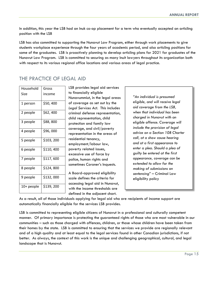In addition, this year the LSB had an Inuk co-op placement for a term who eventually accepted an articling position with the LSB

LSB has also committed to supporting the Nunavut Law Program, either through work placements to give students workplace experience through the four years of academic period, and also articling positions for some of the graduates. LSB is proactively planning to develop articling plans for 2021 for graduates of the Nunavut Law Program. LSB is committed to securing as many Inuit lawyers throughout its organization both with respect to its various regional office locations and various areas of legal practice.

# <span id="page-15-0"></span>THE PRACTICE OF LEGAL AID

| Household  | Gross     |
|------------|-----------|
| Size       | income    |
| 1 person   | \$50,400  |
| 2 people   | \$62,400  |
| 3 people   | \$88,800  |
| 4 people   | \$96,000  |
| 5 people   | \$103,200 |
| 6 people   | \$110,400 |
| 7 people   | \$117,600 |
| 8 people   | \$124,800 |
| 9 people   | \$132,000 |
| 10+ people | \$139,200 |

LSB provides legal aid services to financially eligible Nunavummiut, in the legal areas of coverage as set out by the *Legal Services Act*. This includes criminal defense representation, child representation, child protection and family law coverage, and civil/poverty representation in the areas of residential tenancy, employment/labour law, poverty related issues, excessive use of force by police, human rights and sometimes Coroner's Inquests.

A Board-approved eligibility scale defines the criteria for accessing legal aid in Nunavut, with the income thresholds are defined in the adjacent chart.

*"An individual is presumed eligible, and will receive legal aid coverage from the LSB, when that individual has been charged in Nunavut with an eligible offence. Coverage will include the provision of legal advice on a Section 10B Charter call, at a show cause hearing and at a first appearance to enter a plea. Should a plea of guilty be entered at the first appearance, coverage can be extended to allow for the making of submissions on sentencing*" – Criminal Law eligibility policy

As a result, all of those individuals applying for legal aid who are recipients of income support are automatically financially eligible for the services LSB provides.

LSB is committed to representing eligible citizens of Nunavut in a professional and culturally competent manner. Of primary importance is protecting the guaranteed rights of those who are most vulnerable in our communities – such as those charged with offences, children, or those whose children have been taken from their homes by the state. LSB is committed to ensuring that the services we provide are regionally relevant and of a high quality and at least equal to the legal services found in other Canadian jurisdictions, if not better. As always, the context of this work is the unique and challenging geographical, cultural, and legal landscape that is Nunavut.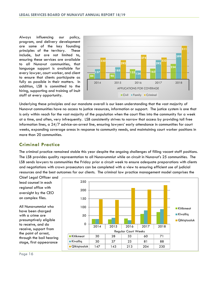Always influencing our policy, program, and delivery development are some of the key founding principles of the territory. These include, but are not limited to, ensuring these services are available to all Nunavut communities, that language support is available for every lawyer, court worker, and client to ensure that clients participate as fully as possible in their matters. In addition, LSB is committed to the hiring, supporting and training of Inuit staff at every opportunity.



Underlying these principles and our mandate overall is our keen understanding that the vast majority of Nunavut communities have no access to justice resources, information or support. The justice system is one that is only within reach for the vast majority of the population when the court flies into the community for a week at a time, and often, very infrequently. LSB consistently strives to narrow that access by providing toll free information lines, a 24/7 advice-on-arrest line, ensuring lawyers' early attendance in communities for court weeks, expanding coverage areas in response to community needs, and maintaining court worker positions in more than 20 communities.

## **Criminal Practice**

The criminal practice remained stable this year despite the ongoing challenges of filling vacant staff positions. The LSB provides quality representation to all Nunavummiut while on circuit in Nunavut's 25 communities. The LSB sends lawyers to communities the Friday prior a circuit week to ensure adequate preparations with clients and negotiations with crown prosecutors can be completed with a view to ensuring efficient use of judicial resources and the best outcomes for our clients. The criminal law practice management model comprises the

Chief Legal Officer and lead counsel in each regional office with oversight by the CEO on complex files.

All Nunavummiut who have been charged with a crime are presumptively eligible to receive, and do receive, support from the point of arrest, through the bail hearing stage, first appearance

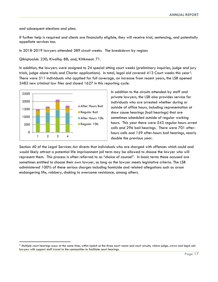and subsequent elections and plea.

If further help is required and clients are financially eligible, they will receive trial, sentencing, and potentially appellate services too.

In 2018-2019 lawyers attended 389 circuit weeks. The breakdown by region:

Qikiqtaaluk: 230; Kivalliq: 88; and, Kitikmeot: 71.

In addition, the lawyers were assigned to 24 special sitting court weeks (preliminary inquiries, judge and jury trials, judge alone trials and *Charter* applications). In total, legal aid covered 413 Court weeks this year[2](#page-17-0). There were 511 individuals who applied for full coverage, an increase from recent years, the LSB opened 2482 new criminal law files and closed 1627 in this reporting cycle.



In addition to the circuits attended by staff and private lawyers, the LSB also provides service for individuals who are arrested whether during or outside of office hours, including representation at show cause hearings (bail hearings) that are sometimes scheduled outside of regular working hours. This year there were 543 regular hours arrest calls and 296 bail hearings. There were 701 afterhours calls and 159 after-hours bail hearings, nearly double the previous year.

Section 40 of the Legal Services Act directs that individuals who are charged with offences which could and would likely attract a potential life imprisonment jail term may be allowed to choose the lawyer who will represent them. This process is often referred to as "choice of counsel". In basic terms these accused are sometimes entitled to choose their own lawyer, so long as the lawyer meets legislative criteria. The LSB administered 100% of these serious charges including homicide and related allegations such as arson endangering life, robbery, choking to overcome resistance, among others.

<span id="page-17-0"></span> $2$  Multiple court hearings occur at the same time, within Iqaluit at the three court rooms and court circuits, where judge, crown and legal aid lawyers with support staff travel to the communities to facilitate court hearings.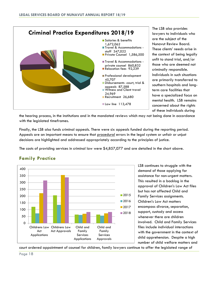

The LSB also provides lawyers to individuals who are the subject of the Nunavut Review Board. These clients' needs arise in the context of being legally unfit to stand trial, and/or those who are deemed not criminally responsible. Individuals in such situations are primarily transferred to southern hospitals and longterm care facilities that have a specialized focus on mental health. LSB remains concerned about the rights of these individuals during

the hearing process, in the institutions and in the mandated reviews which may not being done in accordance with the legislated timeframes.

Finally, the LSB also funds criminal appeals. There were six appeals funded during the reporting period. Appeals are an important means to ensure that procedural errors in the legal system or unfair or unjust decisions are highlighted and addressed appropriately according to the principles of justice.

The costs of providing services in criminal law were \$4,857,077 and are detailed in the chart above.



## **Family Practice**

LSB continues to struggle with the demand of those applying for assistance for non-urgent matters. This resulted in a backlog in the approval of Children's Law Act files but has not affected Child and Family Services assignments. Children's Law Act matters encompass divorce, separation, support, custody and access whenever there are children involved. Child and Family Services files include individual interactions with the government in the context of child apprehension. Despite a high number of child welfare matters and

court ordered appointment of counsel for children, family lawyers continue to offer the legislated range of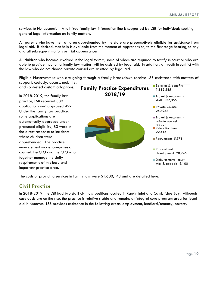services to Nunavummiut. A toll-free family law information line is supported by LSB for individuals seeking general legal information on family matters.

All parents who have their children apprehended by the state are presumptively eligible for assistance from legal aid. If desired, that help is available from the moment of apprehension, to the first stage hearing, to any and all subsequent motions or trial appearances.

All children who become involved in the legal system, some of whom are required to testify in court or who are able to provide input on a family law matter, will be assisted by legal aid. In addition, all youth in conflict with the law who do not choose private counsel are assisted by legal aid.

Eligible Nunavummiut who are going through a family breakdown receive LSB assistance with matters of support, custody, access, mobility,

and contested custom adoptions.

In 2018-2019, the family law practice, LSB received 389 applications and approved 422. Under the family law practice, some applications are automatically approved under presumed eligibility; 83 were in the direct response to incidents where children were apprehended. The practice management model comprises of counsel, the CLO and the CLO who together manage the daily requirements of this busy and important practice area.



The costs of providing services in family law were \$1,600,143 and are detailed here.

## **Civil Practice**

In 2018-2019, the LSB had two staff civil law positions located in Rankin Inlet and Cambridge Bay. Although caseloads are on the rise, the practice is relative stable and remains an integral core program area for legal aid in Nunavut. LSB provides assistance in the following areas: employment, landlord/tenancy, poverty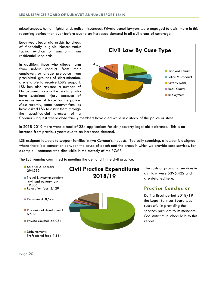miscellaneous, human rights; and, police misconduct. Private panel lawyers were engaged to assist more in this reporting period than ever before due to an increased demand in all civil areas of coverage.

Each year, legal aid assists hundreds of financially eligible Nunavummiut facing eviction or sanctions from residential landlords.

In addition, those who allege harm from unfair conduct from their employer, or allege prejudice from prohibited grounds of discrimination, are eligible to receive LSB's support. LSB has also assisted a number of Nunavummiut across the territory who have sustained injury because of excessive use of force by the police. Most recently, some Nunavut families have asked LSB to assist them through the quasi-judicial process of a



Coroner's Inquest where close family members have died while in custody of the police or state.

In 2018-2019 there were a total of 234 applications for civil/poverty legal aid assistance. This is an increase from previous years due to an increased demand.

LSB assigned lawyers to support families in two Coroner's Inquests. Typically speaking, a lawyer is assigned where there is a connection between the cause of death and the areas in which we provide core services, for example – someone who dies while in the custody of the RCMP.

The LSB remains committed to meeting the demand in the civil practice.



The costs of providing services in civil law were \$396,422 and are detailed here.

#### **Practice Conclusion**

During fiscal period 2018/19 the Legal Services Board was successful in providing the services pursuant to its mandate. See statistics in schedule b to this report.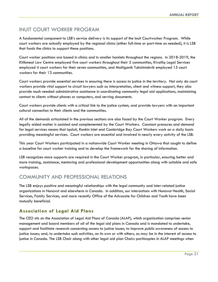# <span id="page-21-0"></span>INUIT COURT WORKER PROGRAM

A fundamental component to LSB's service delivery is its support of the Inuit Courtworker Program. While court workers are actually employed by the regional clinics (either full-time or part-time as needed), it is LSB that funds the clinics to support these positions.

Court worker positions are based in clinics and in smaller hamlets throughout the regions. In 2018-2019, the Kitikmeot Law Centre employed five court workers throughout their 5 communities, Kivalliq Legal Services employed 4 court workers for their seven communities, and Maliiganik Tukisiiniakvik employed 15 court workers for their 13 communities.

Court workers provide essential services in ensuring there is access to justice in the territory. Not only do court workers provide vital support to circuit lawyers such as interpretation, client and witness support, they also provide much needed administrative assistance in coordinating community legal aid applications, maintaining contact to clients without phones or computers, and serving documents.

Court workers provide clients with a critical link to the justice system, and provide lawyers with an important cultural connection to their clients and the communities.

All of the demands articulated in the previous sections are also faced by the Court Worker program. Every legally aided matter is assisted and complemented by the Court Workers. Constant pressures and demand for legal services means that Iqaluit, Rankin Inlet and Cambridge Bay Court Workers work on a daily basis providing meaningful services. Court workers are essential and involved in nearly every activity of the LSB.

This year Court Workers participated in a nationwide Court Worker meeting in Ottawa that sought to define a baseline for court worker training and to develop the framework for the sharing of information.

LSB recognizes more supports are required in the Court Worker program, in particular, ensuring better and more training, assistance, mentoring and professional development opportunities along with suitable and safe workspaces.

## <span id="page-21-1"></span>COMMUNITY AND PROFESSIONAL RELATIONS

The LSB enjoys positive and meaningful relationships with the legal community and inter-related justice organizations in Nunavut and elsewhere in Canada. In addition, our interactions with Nunavut Health, Social Services, Family Services, and more recently Office of the Advocate for Children and Youth have been mutually beneficial.

## **Association of Legal Aid Plans**

The CEO sits on the Association of Legal Aid Plans of Canada (ALAP), which organization comprises senior management and board members of all of the legal aid plans in Canada and is mandated to undertake, support and facilitate research concerning access to justice issues; to improve public awareness of access to justice issues; and, to undertake such activities, on its own or with others, as may be in the interest of access to justice in Canada. The LSB Chair along with other legal aid plan Chairs pariticaptes in ALAP meetings when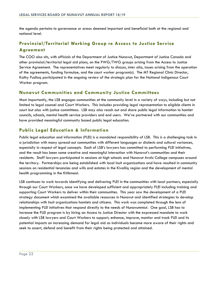the agenda pertains to governance or areas deemed important and beneficial both at the regional and national level.

## **Provincial/Territorial Working Group re Access to Justice Service Agreement**

The COO also sits, with officials of the Department of Justice Nunavut, Department of Justice Canada and other provincial/territorial legal aid plans, on the PWG/TWG groups arising from the Access to Justice Service Agreement. The representatives meet regularly to discuss, inter alia, issues arising from the operation of the agreements, funding formulae, and the court worker program(s). The MT Regional Clinic Director, Kathy Pudlaq participated in the ongoing review of the strategic plan for the National Indigenous Court Worker program.

#### **Nunavut Communities and Community Justice Committees**

Most importantly, the LSB engages communities at the community level in a variety of ways, including but not limited to legal counsel and Court Workers. This includes providing legal representation to eligible clients in court but also with justice committees. LSB may also reach out and share public legal information to hamlet councils, schools, mental health service providers and end users. We've partnered with our communities and have provided meaningful community based public legal education.

#### **Public Legal Education & Information**

Public legal education and information (PLEI) is a mandated responsibility of LSB. This is a challenging task in a jurisdiction with many spread-out communities with different languages or dialects and cultural variances, especially in respect of legal concepts. Each of LSB's lawyers has committed to performing PLEI initiatives, and the result has been some creative and meaningful interaction with Nunavut's communities and their residents. Staff lawyers participated in sessions at high schools and Nunavut Arctic College campuses around the territory. Partnerships are being established with local Inuit organizations and have resulted in community sessions on residential tenancies and wills and estates in the Kivalliq region and the development of mental health programming in the Kitikmeot.

LSB continues to work towards identifying and delivering PLEI in the communities with local partners, especially through our Court Workers, once we have developed sufficient and appropriately PLEI including training and supporting Court Workers to deliver within their communities. This year saw the development of a PLEI strategy document which examined the available resources in Nunavut and identified strategies to develop relationships with Inuit organizations hamlets and citizens. This work was completed through the lens of implementing PLEI initiatives that respond directly to the needs of Nunavummiut. One goal, LSB has to increase the PLEI program is by hiring an Access to Justice Director with the expressed mandate to work closely with LSB lawyers and Court Workers to support, enhance, improve, monitor and track PLEI and its potential impacts on increasing demand for legal aid as individuals become more aware of their rights and seek to assert, defend and benefit from their rights being protected and attained.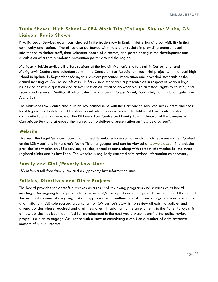## **Trade Shows, High School – CBA Mock Trial/College, Shelter Visits, GN Liaison, Radio Shows**

Kivalliq Legal Services again participated in the trade show in Rankin Inlet enhancing our visibility in that community and region. The office also partnered with the shelter society in providing general legal information to shelter staff, their volunteer board of directors, and participating in the development and distribution of a family violence prevention poster around the region.

Maliiganik Tukisiniarvik staff offers sessions at the Iqaluit Women's Shelter, Baffin Correctional and Makigiarvik Centers and volunteered with the Canadian Bar Association mock trial project with the local high school in Iqaluit. In September Maliiganik lawyers presented information and provided materials at the annual meeting of GN Liaison officers. In Sanikiluaq there was a presentation in respect of various legal issues and hosted a question and answer session on: what to do when you're arrested; rights to counsel, and search and seizure. Maliiganik also hosted radio shows in Cape Dorset, Pond Inlet, Pangnirtung, Iqaluit and Arctic Bay.

The Kitikmeot Law Centre also built on key partnerships with the Cambridge Bay Wellness Centre and their local high school to deliver PLEI materials and information sessions. The Kitikmeot Law Centre hosted community forums on the role of the Kitikmeot Law Centre and Family Law in Nunavut at the Campus in Cambridge Bay and attended the high school to deliver a presentation on "law as a career".

## **Website**

This year the Legal Services Board maintained its website by ensuring regular updates were made. Content on the LSB website is in Nunavut's four official languages and can be viewed at [www.nulas.ca.](http://www.nulas.ca/) The website provides information on LSB's services, policies, annual reports, along with contact information for the three regional clinics and its law lines. The website is regularly updated with revised information as necessary.

## **Family and Civil/Poverty Law Lines**

LSB offers a toll-free family law and civil/poverty law information lines.

## **Policies, Directives and Other Projects**

The Board provides senior staff directives as a result of reviewing programs and services at its Board meetings. An ongoing list of policies to be reviewed/developed and other projects are identified throughout the year with a view of assigning tasks to appropriate committees or staff. Due to organizational demands and limitations, LSB sole sourced a consultant on GN Justice's SOA list to review all existing policies and amend policies where required and draft new ones. In addition to the amendments to the Panel Policy, a list of new policies has been identified for development in the next year. Accompanying the policy review project is a plan to engage GN Justice with a view to completing a MoU on a number of administrative matters of mutual interest.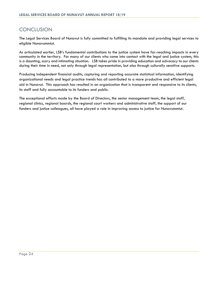# <span id="page-24-0"></span>**CONCLUSION**

The Legal Services Board of Nunavut is fully committed to fulfilling its mandate and providing legal services to eligible Nunavummiut.

As articulated earlier, LSB's fundamental contributions to the justice system have far-reaching impacts in every community in the territory. For many of our clients who come into contact with the legal and justice system, this is a daunting, scary and intimating situation. LSB takes pride in providing education and advocacy to our clients during their time in need, not only through legal representation, but also through culturally sensitive supports.

Producing independent financial audits, capturing and reporting accurate statistical information, identifying organizational needs and legal practice trends has all contributed to a more productive and efficient legal aid in Nunavut. This approach has resulted in an organization that is transparent and responsive to its clients, its staff and fully accountable to its funders and public.

The exceptional efforts made by the Board of Directors, the senior management team, the legal staff, regional clinics, regional boards, the regional court workers and administrative staff, the support of our funders and justice colleagues, all have played a role in improving access to justice for Nunavummiut.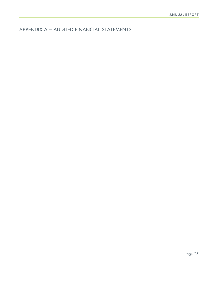<span id="page-25-0"></span>APPENDIX A – AUDITED FINANCIAL STATEMENTS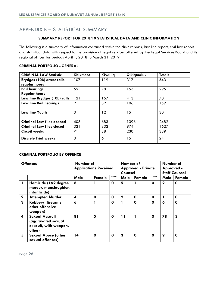## <span id="page-26-0"></span>APPENDIX B – STATISTICAL SUMMARY

#### **SUMMARY REPORT FOR 2018/19 STATISTICAL DATA AND CLINIC INFORMATION**

The following is a summary of information contained within the clinic reports, law line report, civil law report and statistical data with respect to the provision of legal services offered by the Legal Services Board and its regional offices for periods April 1, 2018 to March 31, 2019.

| <b>CRIMINAL LAW Statistic</b>     | <b>Kitikmeot</b> | Kivallig | Qikiqtaaluk | <b>Totals</b> |
|-----------------------------------|------------------|----------|-------------|---------------|
| <b>Brydges (10b) arrest calls</b> | 107              | 119      | 317         | 543           |
| regular hours                     |                  |          |             |               |
| <b>Bail hearings</b>              | 65               | 78       | 153         | 296           |
| <b>Regular hours</b>              |                  |          |             |               |
| Law line Brydges (10b) calls      | 121              | 167      | 413         | 701           |
| Law line Bail hearings            | 21               | 32       | 106         | 159           |
|                                   |                  |          |             |               |
| Law line Youth                    | 3                | $12 \,$  | 15          | 30            |
|                                   |                  |          |             |               |
| <b>Criminal Law files opened</b>  | 403              | 683      | 1396        | 2482          |
| <b>Criminal Law files closed</b>  | 321              | 332      | 974         | 1627          |
| <b>Circuit weeks</b>              | 71               | 88       | 230         | 389           |
|                                   |                  |          |             |               |
| <b>Discrete Trial weeks</b>       | 3                | 6        | 15          | 24            |

#### **CRIMINAL PORTFOLIO - GENERAL**

#### **CRIMINAL PORTFOLIO BY OFFENCE**

| <b>Offences</b>         |                                                                                |                  | Number of<br><b>Applications Received</b> |             |             | Number of<br><b>Approved - Private</b><br>Counsel |       |             | Number of<br>Approved -<br><b>Staff Counsel</b> |  |
|-------------------------|--------------------------------------------------------------------------------|------------------|-------------------------------------------|-------------|-------------|---------------------------------------------------|-------|-------------|-------------------------------------------------|--|
|                         |                                                                                | Male             | Female                                    | Other       | Male        | Female                                            | Other | Male        | Female                                          |  |
|                         | Homicide (1&2 degree<br>murder, manslaughter,<br>infanticide)                  | 8                |                                           | O           | 5           | 1                                                 | 0     | $\mathbf 2$ | $\mathbf 0$                                     |  |
| $\mathbf{2}$            | <b>Attempted Murder</b>                                                        | $\boldsymbol{4}$ | $\mathbf 0$                               | 0           | $\mathbf 2$ | $\mathbf 0$                                       | O     |             | O                                               |  |
| $\overline{\mathbf{3}}$ | <b>Robbery (firearms,</b><br>other offensive<br>weapon)                        | 6                |                                           | $\mathbf 0$ |             | $\mathbf 0$                                       | O     | 6           | $\mathbf 0$                                     |  |
| $\overline{\mathbf{4}}$ | <b>Sexual Assault</b><br>(aggravated sexual<br>assault, with weapon,<br>other) | 81               | 5                                         | O           | 11          | 1                                                 | O     | 78          | $\mathbf 2$                                     |  |
| 5                       | <b>Sexual Abuse (other</b><br>sexual offences)                                 | 14               | $\mathbf 0$                               | O           | 3           | $\mathbf 0$                                       | O     | 9           | $\Omega$                                        |  |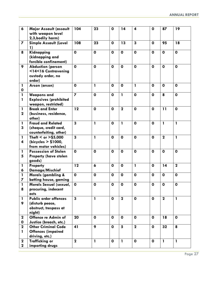| $\boldsymbol{6}$            | Major Assault (assault<br>with weapon level<br>2,3, bodily harm)                   | 104                     | 23           | $\mathbf 0$  | 14              | $\overline{\mathbf{4}}$ | $\mathbf 0$  | 87             | 19           |
|-----------------------------|------------------------------------------------------------------------------------|-------------------------|--------------|--------------|-----------------|-------------------------|--------------|----------------|--------------|
| 7                           | <b>Simple Assault (Level</b><br>1)                                                 | 108                     | 23           | $\mathbf{o}$ | 13              | 3                       | $\mathbf 0$  | 95             | 18           |
| 8                           | Kidnapping<br>(kidnapping and<br>forcible confinement)                             | $\mathbf 0$             | $\mathbf 0$  | $\mathbf 0$  | $\mathbf 0$     | $\mathbf 0$             | $\mathbf 0$  | $\mathbf 0$    | $\mathbf 0$  |
| 9                           | <b>Abduction (person</b><br><14<16 Contravening<br>custody order, no<br>order)     | $\mathbf{o}$            | $\mathbf 0$  | $\mathbf 0$  | $\mathbf 0$     | $\mathbf 0$             | $\mathbf 0$  | $\mathbf{o}$   | $\mathbf 0$  |
| $\mathbf{I}$<br>0           | Arson (arson)                                                                      | $\mathbf 0$             | 1            | $\mathbf{o}$ | $\mathbf 0$     | 1                       | $\mathbf 0$  | $\mathbf 0$    | $\mathbf 0$  |
| 1<br>$\mathbf{I}$           | <b>Weapons and</b><br><b>Explosives (prohibited</b><br>weapon, restricted)         | $\overline{\mathbf{z}}$ | $\mathbf 0$  | $\mathbf 0$  | $\mathbf{I}$    | $\mathbf 0$             | $\mathbf 0$  | 8              | $\mathbf 0$  |
| $\mathbf{1}$<br>$\mathbf 2$ | <b>Break and Enter</b><br>(business, residence,<br>other)                          | 12                      | $\mathbf 0$  | $\mathbf 0$  | $\mathbf{2}$    | $\mathbf 0$             | $\mathbf 0$  | 11             | $\mathbf 0$  |
| 1<br>3                      | <b>Fraud and Related</b><br>(cheque, credit card,<br>counterfeiting, other)        | 3                       | $\mathbf{1}$ | $\mathbf 0$  | $\mathbf{1}$    | $\mathbf 0$             | $\mathbf{o}$ | $\mathbf{1}$   | $\mathbf{1}$ |
| $\mathbf{I}$<br>4           | Theft < or $>$ \$5,000<br>(bicycles $> $1000$ ,<br>from motor vehicles)            | $\overline{\mathbf{3}}$ | $\mathbf{I}$ | $\mathbf 0$  | $\mathbf 0$     | $\mathbf 0$             | $\mathbf 0$  | $\overline{2}$ | $\mathbf{1}$ |
| $\mathbf{I}$<br>5           | <b>Possession of Stolen</b><br><b>Property (have stolen</b><br>goods)              | $\mathbf 0$             | $\mathbf 0$  | $\mathbf 0$  | $\mathbf 0$     | $\mathbf 0$             | $\mathbf 0$  | $\mathbf 0$    | $\mathbf 0$  |
| 1<br>6                      | Property<br>Damage/Mischief                                                        | 12                      | 6            | $\mathbf 0$  | $\mathbf 0$     | $\mathbf{I}$            | $\mathbf 0$  | 14             | $\mathbf 2$  |
| $\mathbf{I}$<br>7           | Morals (gambling &<br>betting house, gaming                                        | $\mathbf 0$             | $\mathbf 0$  | $\mathbf{o}$ | $\mathbf 0$     | $\mathbf 0$             | $\mathbf 0$  | $\mathbf 0$    | $\mathbf 0$  |
| $\mathbf{I}$<br>8           | Morals Sexual (sexual,<br>procuring, indecent<br>acts                              | $\mathbf 0$             | $\mathbf{o}$ | $\mathbf 0$  | $\mathbf 0$     | $\mathbf 0$             | $\pmb{0}$    | $\pmb{0}$      | $\mathbf 0$  |
| 1<br>9                      | <b>Public order offences</b><br>(disturb peace,<br>obstruct, trespass at<br>night) | $\overline{\mathbf{3}}$ | $\mathbf{1}$ | $\mathbf{o}$ | $\mathbf{2}$    | $\mathbf{o}$            | $\mathbf 0$  | $\mathbf{2}$   | $\mathbf{I}$ |
| $\mathbf{2}$<br>0           | Offence re Admin of<br>Justice (breach, etc.)                                      | 20                      | $\mathbf{o}$ | $\mathbf 0$  | $\mathbf{o}$    | $\mathbf 0$             | $\mathbf{o}$ | 18             | $\mathbf 0$  |
| $\mathbf{2}$<br>1           | <b>Other Criminal Code</b><br><b>Offences (impaired</b><br>driving, etc.)          | 41                      | 9            | $\mathbf{o}$ | $5\phantom{.0}$ | $\mathbf 2$             | $\mathbf{o}$ | 32             | 8            |
| $\mathbf 2$<br>$\mathbf{2}$ | <b>Trafficking or</b><br>importing drugs                                           | $\mathbf{2}$            | $\mathbf{1}$ | $\mathbf 0$  | $\mathbf{1}$    | $\mathbf 0$             | $\mathbf{o}$ | $\mathbf{1}$   | $\mathbf{1}$ |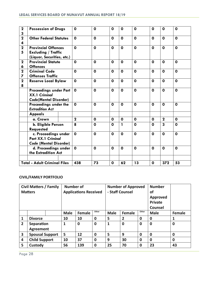| $\mathbf 2$<br>3  | <b>Possession of Drugs</b>                                                             | $\mathbf 0$ | $\mathbf 0$  | $\mathbf 0$  | $\mathbf 0$  | $\mathbf 0$ | $\mathbf 0$  | $\mathbf 0$    | $\mathbf 0$  |
|-------------------|----------------------------------------------------------------------------------------|-------------|--------------|--------------|--------------|-------------|--------------|----------------|--------------|
| $\mathbf 2$<br>4  | <b>Other Federal Statutes</b>                                                          | $\mathbf 0$ | $\mathbf 0$  | $\mathbf 0$  | $\mathbf{o}$ | $\mathbf 0$ | $\mathbf 0$  | $\mathbf{o}$   | $\mathbf 0$  |
| $\mathbf{2}$<br>5 | <b>Provincial Offences</b><br><b>Excluding / Traffic</b><br>(Liquor, Securities, etc.) | $\mathbf 0$ | $\mathbf 0$  | $\mathbf{o}$ | $\mathbf{o}$ | $\mathbf 0$ | $\mathbf{o}$ | $\mathbf{o}$   | $\mathbf 0$  |
| $\mathbf 2$<br>6  | <b>Provincial Statute</b><br><b>Offences</b>                                           | $\mathbf 0$ | $\mathbf 0$  | $\mathbf 0$  | $\mathbf 0$  | $\mathbf 0$ | $\mathbf{o}$ | $\mathbf 0$    | $\mathbf 0$  |
| $\mathbf{2}$<br>7 | <b>Criminal Code</b><br><b>Offenses Traffic</b>                                        | $\mathbf 0$ | $\mathbf 0$  | $\mathbf 0$  | $\mathbf 0$  | $\mathbf 0$ | $\mathbf{o}$ | $\mathbf 0$    | $\mathbf 0$  |
| $\mathbf{2}$<br>8 | <b>Reserve Local Bylaw</b>                                                             | $\mathbf 0$ | $\mathbf 0$  | $\mathbf 0$  | $\mathbf{o}$ | $\mathbf 0$ | $\mathbf{o}$ | $\mathbf 0$    | $\mathbf 0$  |
|                   | <b>Proceedings under Part</b><br><b>XX.1 Criminal</b><br>Code(Mental Disorder)         | $\mathbf 0$ | O            | $\mathbf 0$  | $\mathbf 0$  | $\mathbf 0$ | $\mathbf 0$  | $\mathbf 0$    | $\mathbf 0$  |
|                   | Proceedings under the<br><b>Extradition Act</b>                                        | $\mathbf 0$ | $\mathbf 0$  | $\mathbf 0$  | $\mathbf 0$  | $\mathbf 0$ | $\mathbf 0$  | $\mathbf 0$    | $\mathbf 0$  |
|                   | <b>Appeals</b>                                                                         |             |              |              |              |             |              |                |              |
|                   | a. Crown                                                                               | $\mathbf 2$ | $\mathbf 0$  | $\mathbf{o}$ | $\mathbf 0$  | $\mathbf 0$ | $\mathbf{o}$ | $\overline{2}$ | $\mathbf 0$  |
|                   | b. Eligible Person<br><b>Requested</b>                                                 | 8           | $\mathbf{o}$ | $\mathbf 0$  | $\mathbf{I}$ | $\Omega$    | $\mathbf 0$  | $\overline{3}$ | $\mathbf 0$  |
|                   | c. Proceedings under<br><b>Part XX.1 Criminal</b><br>Code (Mental Disorder)            | $\mathbf 0$ | $\mathbf 0$  | $\mathbf 0$  | $\mathbf{o}$ | $\mathbf 0$ | $\mathbf{o}$ | $\mathbf 0$    | $\mathbf 0$  |
|                   | d. Proceedings under<br>the Extradition Act                                            | $\mathbf o$ | $\mathbf 0$  | $\mathbf 0$  | $\mathbf 0$  | $\mathbf 0$ | $\mathbf 0$  | $\mathbf 0$    | $\mathbf{o}$ |
|                   |                                                                                        |             |              |              |              |             |              |                |              |
|                   | <b>Total - Adult Criminal Files</b>                                                    | 438         | 73           | $\mathbf 0$  | 62           | 13          | $\mathbf 0$  | 372            | 53           |

#### **CIVIL/FAMILY PORTFOLIO**

| <b>Civil Matters / Family</b> |                        |    | <b>Number of</b> |                              |             | <b>Number of Approved</b> |                |             | <b>Number</b>   |             |
|-------------------------------|------------------------|----|------------------|------------------------------|-------------|---------------------------|----------------|-------------|-----------------|-------------|
|                               | <b>Matters</b>         |    |                  | <b>Applications Received</b> |             | - Staff Counsel           |                |             | οf              |             |
|                               |                        |    |                  |                              |             |                           |                |             | <b>Approved</b> |             |
|                               |                        |    |                  |                              |             |                           |                |             | <b>Private</b>  |             |
|                               |                        |    |                  |                              |             |                           |                |             | Counsel         |             |
|                               |                        |    | <b>Male</b>      | Female                       | Other       | <b>Male</b>               | <b>Female</b>  | Other       | <b>Male</b>     | Female      |
| 1                             | <b>Divorce</b>         |    | 10               | 10                           | $\mathbf 0$ | 5                         | $\overline{2}$ | $\mathbf 0$ | 0               | 1           |
| $\overline{2}$                | Separation             |    | 1                | $\mathbf 0$                  | $\mathbf 0$ | 1                         | 0              | $\mathbf 0$ | $\mathbf 0$     | $\mathbf 0$ |
| Agreement                     |                        |    |                  |                              |             |                           |                |             |                 |             |
| 3                             | <b>Spousal Support</b> |    | 5                | 12                           | $\mathbf 0$ | 5                         | 9              | $\mathbf 0$ | 0               | 0           |
| <b>Child Support</b><br>4     |                        | 10 | 37               | $\mathbf{0}$                 | 9           | 30                        | $\mathbf 0$    | 0           | $\mathbf 0$     |             |
| 5<br>Custody                  |                        |    | 56               | 139                          | $\mathbf 0$ | 25                        | 70             | $\mathbf 0$ | 23              | 43          |